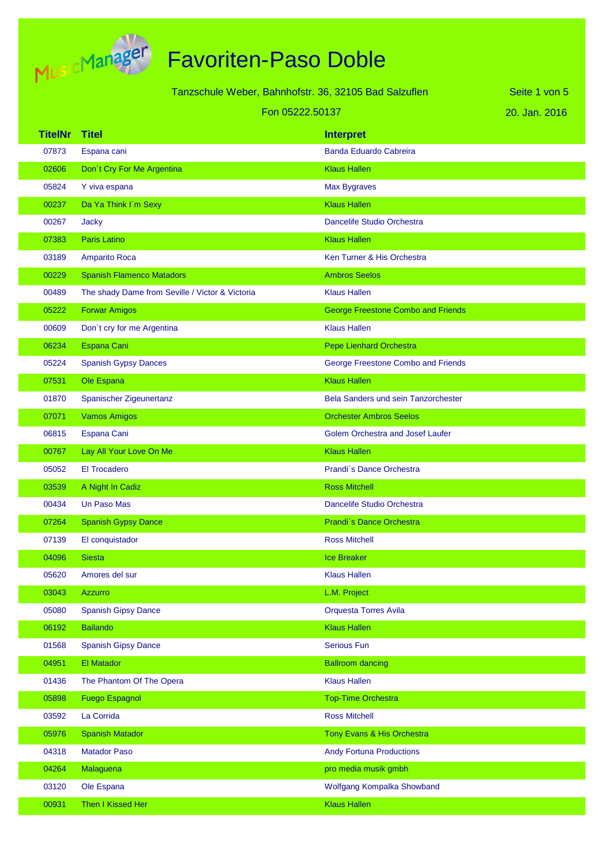

Tanzschule Weber, Bahnhofstr. 36, 32105 Bad Salzuflen

20. Jan. 2016 Seite 1 von 5

|                | Fon 05222.50137                                 |                                           | 20. Jan. 2016 |
|----------------|-------------------------------------------------|-------------------------------------------|---------------|
| <b>TitelNr</b> | <b>Titel</b>                                    | <b>Interpret</b>                          |               |
| 07873          | Espana cani                                     | <b>Banda Eduardo Cabreira</b>             |               |
| 02606          | Don't Cry For Me Argentina                      | <b>Klaus Hallen</b>                       |               |
| 05824          | Y viva espana                                   | <b>Max Bygraves</b>                       |               |
| 00237          | Da Ya Think I'm Sexy                            | <b>Klaus Hallen</b>                       |               |
| 00267          | Jacky                                           | Dancelife Studio Orchestra                |               |
| 07383          | <b>Paris Latino</b>                             | <b>Klaus Hallen</b>                       |               |
| 03189          | <b>Amparito Roca</b>                            | Ken Turner & His Orchestra                |               |
| 00229          | <b>Spanish Flamenco Matadors</b>                | <b>Ambros Seelos</b>                      |               |
| 00489          | The shady Dame from Seville / Victor & Victoria | <b>Klaus Hallen</b>                       |               |
| 05222          | <b>Forwar Amigos</b>                            | <b>George Freestone Combo and Friends</b> |               |
| 00609          | Don't cry for me Argentina                      | <b>Klaus Hallen</b>                       |               |
| 06234          | Espana Cani                                     | <b>Pepe Lienhard Orchestra</b>            |               |
| 05224          | <b>Spanish Gypsy Dances</b>                     | George Freestone Combo and Friends        |               |
| 07531          | Ole Espana                                      | <b>Klaus Hallen</b>                       |               |
| 01870          | Spanischer Zigeunertanz                         | Bela Sanders und sein Tanzorchester       |               |
| 07071          | <b>Vamos Amigos</b>                             | <b>Orchester Ambros Seelos</b>            |               |
| 06815          | Espana Cani                                     | <b>Golem Orchestra and Josef Laufer</b>   |               |
| 00767          | Lay All Your Love On Me                         | <b>Klaus Hallen</b>                       |               |
| 05052          | <b>El Trocadero</b>                             | Prandi's Dance Orchestra                  |               |
| 03539          | A Night In Cadiz                                | <b>Ross Mitchell</b>                      |               |
| 00434          | Un Paso Mas                                     | <b>Dancelife Studio Orchestra</b>         |               |
| 07264          | <b>Spanish Gypsy Dance</b>                      | Prandi's Dance Orchestra                  |               |
| 07139          | El conquistador                                 | <b>Ross Mitchell</b>                      |               |
| 04096          | <b>Siesta</b>                                   | <b>Ice Breaker</b>                        |               |
| 05620          | Amores del sur                                  | <b>Klaus Hallen</b>                       |               |
| 03043          | <b>Azzurro</b>                                  | L.M. Project                              |               |
| 05080          | <b>Spanish Gipsy Dance</b>                      | Orquesta Torres Avila                     |               |
| 06192          | <b>Bailando</b>                                 | <b>Klaus Hallen</b>                       |               |
| 01568          | <b>Spanish Gipsy Dance</b>                      | <b>Serious Fun</b>                        |               |
| 04951          | El Matador                                      | <b>Ballroom dancing</b>                   |               |
| 01436          | The Phantom Of The Opera                        | <b>Klaus Hallen</b>                       |               |
| 05898          | <b>Fuego Espagnol</b>                           | <b>Top-Time Orchestra</b>                 |               |
| 03592          | La Corrida                                      | <b>Ross Mitchell</b>                      |               |
| 05976          | <b>Spanish Matador</b>                          | Tony Evans & His Orchestra                |               |
| 04318          | <b>Matador Paso</b>                             | <b>Andy Fortuna Productions</b>           |               |
| 04264          | Malaguena                                       | pro media musik gmbh                      |               |
| 03120          | Ole Espana                                      | Wolfgang Kompalka Showband                |               |
| 00931          | Then I Kissed Her                               | <b>Klaus Hallen</b>                       |               |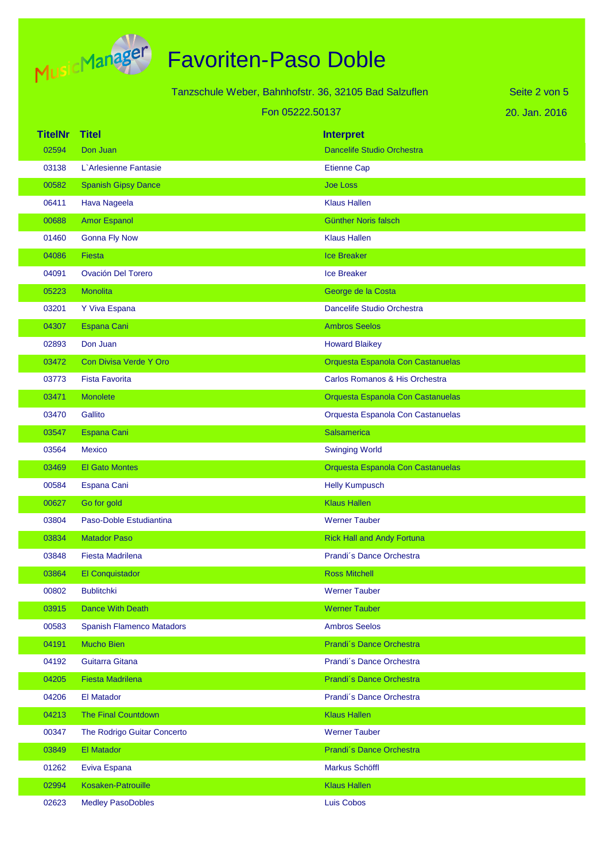

|                | Tanzschule Weber, Bahnhofstr. 36, 32105 Bad Salzuflen |  | Seite 2 von 5                     |               |
|----------------|-------------------------------------------------------|--|-----------------------------------|---------------|
|                | Fon 05222.50137                                       |  |                                   | 20. Jan. 2016 |
| <b>TitelNr</b> | <b>Titel</b>                                          |  | <b>Interpret</b>                  |               |
| 02594          | Don Juan                                              |  | Dancelife Studio Orchestra        |               |
| 03138          | L'Arlesienne Fantasie                                 |  | <b>Etienne Cap</b>                |               |
| 00582          | <b>Spanish Gipsy Dance</b>                            |  | <b>Joe Loss</b>                   |               |
| 06411          | Hava Nageela                                          |  | <b>Klaus Hallen</b>               |               |
| 00688          | <b>Amor Espanol</b>                                   |  | <b>Günther Noris falsch</b>       |               |
| 01460          | <b>Gonna Fly Now</b>                                  |  | <b>Klaus Hallen</b>               |               |
| 04086          | <b>Fiesta</b>                                         |  | <b>Ice Breaker</b>                |               |
| 04091          | <b>Ovación Del Torero</b>                             |  | <b>Ice Breaker</b>                |               |
| 05223          | Monolita                                              |  | George de la Costa                |               |
| 03201          | Y Viva Espana                                         |  | Dancelife Studio Orchestra        |               |
| 04307          | Espana Cani                                           |  | <b>Ambros Seelos</b>              |               |
| 02893          | Don Juan                                              |  | <b>Howard Blaikey</b>             |               |
| 03472          | Con Divisa Verde Y Oro                                |  | Orquesta Espanola Con Castanuelas |               |
| 03773          | <b>Fista Favorita</b>                                 |  | Carlos Romanos & His Orchestra    |               |
| 03471          | <b>Monolete</b>                                       |  | Orquesta Espanola Con Castanuelas |               |
| 03470          | Gallito                                               |  | Orquesta Espanola Con Castanuelas |               |
| 03547          | <b>Espana Cani</b>                                    |  | <b>Salsamerica</b>                |               |
| 03564          | <b>Mexico</b>                                         |  | <b>Swinging World</b>             |               |
| 03469          | <b>El Gato Montes</b>                                 |  | Orquesta Espanola Con Castanuelas |               |
| 00584          | Espana Cani                                           |  | <b>Helly Kumpusch</b>             |               |
| 00627          | Go for gold                                           |  | <b>Klaus Hallen</b>               |               |
| 03804          | Paso-Doble Estudiantina                               |  | <b>Werner Tauber</b>              |               |
| 03834          | <b>Matador Paso</b>                                   |  | <b>Rick Hall and Andy Fortuna</b> |               |
| 03848          | <b>Fiesta Madrilena</b>                               |  | Prandi's Dance Orchestra          |               |
| 03864          | El Conquistador                                       |  | <b>Ross Mitchell</b>              |               |
| 00802          | <b>Bublitchki</b>                                     |  | <b>Werner Tauber</b>              |               |
| 03915          | <b>Dance With Death</b>                               |  | <b>Werner Tauber</b>              |               |
| 00583          | <b>Spanish Flamenco Matadors</b>                      |  | <b>Ambros Seelos</b>              |               |
| 04191          | <b>Mucho Bien</b>                                     |  | Prandi's Dance Orchestra          |               |
| 04192          | Guitarra Gitana                                       |  | Prandi's Dance Orchestra          |               |
| 04205          | <b>Fiesta Madrilena</b>                               |  | Prandi's Dance Orchestra          |               |
| 04206          | <b>El Matador</b>                                     |  | Prandi's Dance Orchestra          |               |
| 04213          | <b>The Final Countdown</b>                            |  | <b>Klaus Hallen</b>               |               |
| 00347          | The Rodrigo Guitar Concerto                           |  | <b>Werner Tauber</b>              |               |
| 03849          | El Matador                                            |  | Prandi's Dance Orchestra          |               |
| 01262          | Eviva Espana                                          |  | Markus Schöffl                    |               |
| 02994          | <b>Kosaken-Patrouille</b>                             |  | <b>Klaus Hallen</b>               |               |
| 02623          | <b>Medley PasoDobles</b>                              |  | Luis Cobos                        |               |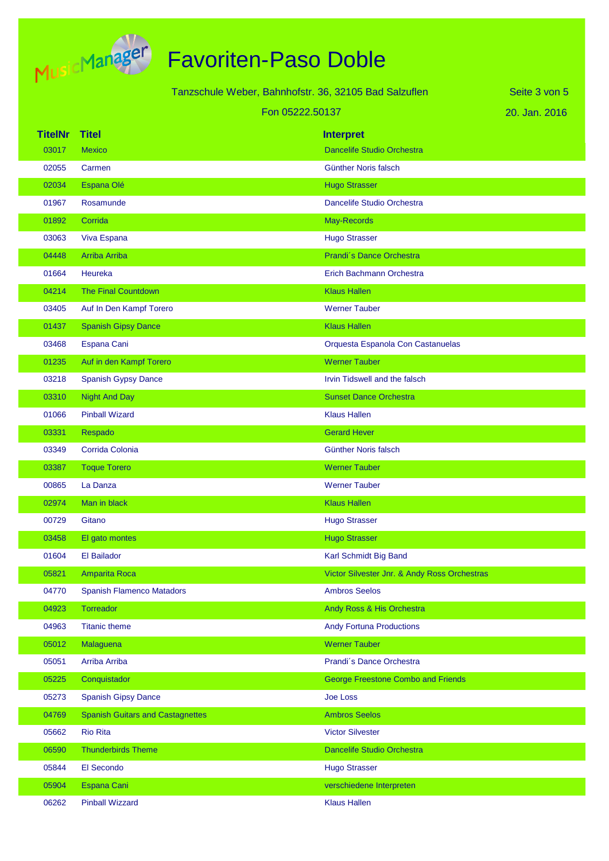

|                | Tanzschule Weber, Bahnhofstr. 36, 32105 Bad Salzuflen | Seite 3 von 5                                |               |
|----------------|-------------------------------------------------------|----------------------------------------------|---------------|
|                | Fon 05222.50137                                       |                                              | 20. Jan. 2016 |
| <b>TitelNr</b> | <b>Titel</b>                                          | <b>Interpret</b>                             |               |
| 03017          | <b>Mexico</b>                                         | <b>Dancelife Studio Orchestra</b>            |               |
| 02055          | Carmen                                                | Günther Noris falsch                         |               |
| 02034          | Espana Olé                                            | <b>Hugo Strasser</b>                         |               |
| 01967          | Rosamunde                                             | Dancelife Studio Orchestra                   |               |
| 01892          | Corrida                                               | May-Records                                  |               |
| 03063          | Viva Espana                                           | <b>Hugo Strasser</b>                         |               |
| 04448          | <b>Arriba Arriba</b>                                  | Prandi's Dance Orchestra                     |               |
| 01664          | Heureka                                               | Erich Bachmann Orchestra                     |               |
| 04214          | <b>The Final Countdown</b>                            | <b>Klaus Hallen</b>                          |               |
| 03405          | Auf In Den Kampf Torero                               | <b>Werner Tauber</b>                         |               |
| 01437          | <b>Spanish Gipsy Dance</b>                            | <b>Klaus Hallen</b>                          |               |
| 03468          | Espana Cani                                           | Orquesta Espanola Con Castanuelas            |               |
| 01235          | Auf in den Kampf Torero                               | <b>Werner Tauber</b>                         |               |
| 03218          | <b>Spanish Gypsy Dance</b>                            | Irvin Tidswell and the falsch                |               |
| 03310          | <b>Night And Day</b>                                  | <b>Sunset Dance Orchestra</b>                |               |
| 01066          | <b>Pinball Wizard</b>                                 | <b>Klaus Hallen</b>                          |               |
| 03331          | Respado                                               | <b>Gerard Hever</b>                          |               |
| 03349          | Corrida Colonia                                       | <b>Günther Noris falsch</b>                  |               |
| 03387          | <b>Toque Torero</b>                                   | <b>Werner Tauber</b>                         |               |
| 00865          | La Danza                                              | <b>Werner Tauber</b>                         |               |
| 02974          | Man in black                                          | <b>Klaus Hallen</b>                          |               |
| 00729          | Gitano                                                | <b>Hugo Strasser</b>                         |               |
| 03458          | El gato montes                                        | <b>Hugo Strasser</b>                         |               |
| 01604          | El Bailador                                           | Karl Schmidt Big Band                        |               |
| 05821          | Amparita Roca                                         | Victor Silvester Jnr. & Andy Ross Orchestras |               |
| 04770          | <b>Spanish Flamenco Matadors</b>                      | <b>Ambros Seelos</b>                         |               |
| 04923          | Torreador                                             | Andy Ross & His Orchestra                    |               |
| 04963          | <b>Titanic theme</b>                                  | <b>Andy Fortuna Productions</b>              |               |
| 05012          | Malaguena                                             | <b>Werner Tauber</b>                         |               |
| 05051          | Arriba Arriba                                         | Prandi's Dance Orchestra                     |               |
| 05225          | Conquistador                                          | <b>George Freestone Combo and Friends</b>    |               |
| 05273          | <b>Spanish Gipsy Dance</b>                            | <b>Joe Loss</b>                              |               |
| 04769          | <b>Spanish Guitars and Castagnettes</b>               | <b>Ambros Seelos</b>                         |               |
| 05662          | <b>Rio Rita</b>                                       | <b>Victor Silvester</b>                      |               |
| 06590          | <b>Thunderbirds Theme</b>                             | Dancelife Studio Orchestra                   |               |
| 05844          | El Secondo                                            | <b>Hugo Strasser</b>                         |               |
| 05904          | Espana Cani                                           | verschiedene Interpreten                     |               |
| 06262          | <b>Pinball Wizzard</b>                                | <b>Klaus Hallen</b>                          |               |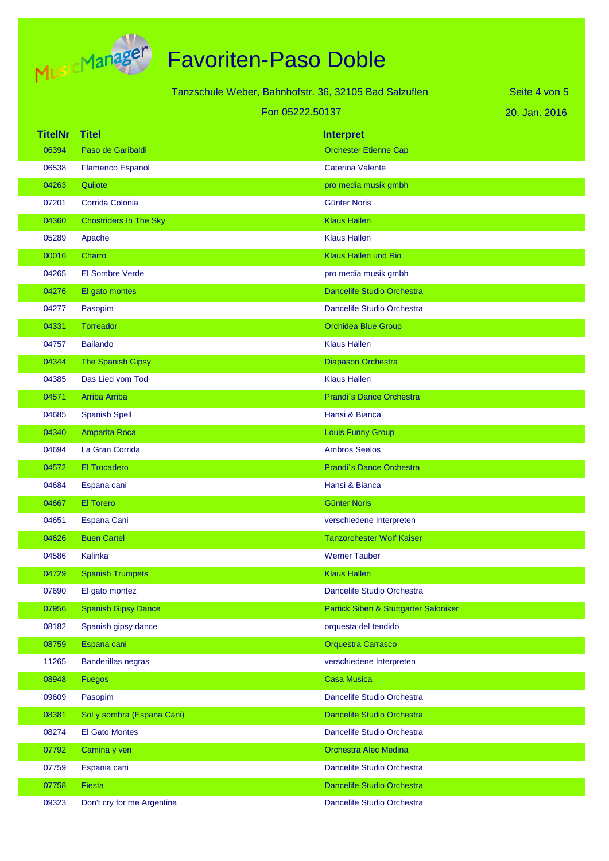

|                | Tanzschule Weber, Bahnhofstr. 36, 32105 Bad Salzuflen |                 |                                       | Seite 4 von 5 |
|----------------|-------------------------------------------------------|-----------------|---------------------------------------|---------------|
|                |                                                       | Fon 05222.50137 |                                       | 20. Jan. 2016 |
| <b>TitelNr</b> | <b>Titel</b>                                          |                 | <b>Interpret</b>                      |               |
| 06394          | Paso de Garibaldi                                     |                 | <b>Orchester Etienne Cap</b>          |               |
| 06538          | <b>Flamenco Espanol</b>                               |                 | <b>Caterina Valente</b>               |               |
| 04263          | Quijote                                               |                 | pro media musik gmbh                  |               |
| 07201          | Corrida Colonia                                       |                 | <b>Günter Noris</b>                   |               |
| 04360          | <b>Chostriders In The Sky</b>                         |                 | <b>Klaus Hallen</b>                   |               |
| 05289          | Apache                                                |                 | <b>Klaus Hallen</b>                   |               |
| 00016          | Charro                                                |                 | <b>Klaus Hallen und Rio</b>           |               |
| 04265          | El Sombre Verde                                       |                 | pro media musik gmbh                  |               |
| 04276          | El gato montes                                        |                 | Dancelife Studio Orchestra            |               |
| 04277          | Pasopim                                               |                 | Dancelife Studio Orchestra            |               |
| 04331          | Torreador                                             |                 | <b>Orchidea Blue Group</b>            |               |
| 04757          | <b>Bailando</b>                                       |                 | <b>Klaus Hallen</b>                   |               |
| 04344          | <b>The Spanish Gipsy</b>                              |                 | Diapason Orchestra                    |               |
| 04385          | Das Lied vom Tod                                      |                 | <b>Klaus Hallen</b>                   |               |
| 04571          | <b>Arriba Arriba</b>                                  |                 | Prandi's Dance Orchestra              |               |
| 04685          | <b>Spanish Spell</b>                                  |                 | Hansi & Bianca                        |               |
| 04340          | Amparita Roca                                         |                 | Louis Funny Group                     |               |
| 04694          | La Gran Corrida                                       |                 | <b>Ambros Seelos</b>                  |               |
| 04572          | <b>El Trocadero</b>                                   |                 | Prandi's Dance Orchestra              |               |
| 04684          | Espana cani                                           |                 | Hansi & Bianca                        |               |
| 04667          | <b>El Torero</b>                                      |                 | <b>Günter Noris</b>                   |               |
| 04651          | Espana Cani                                           |                 | verschiedene Interpreten              |               |
| 04626          | <b>Buen Cartel</b>                                    |                 | <b>Tanzorchester Wolf Kaiser</b>      |               |
| 04586          | Kalinka                                               |                 | <b>Werner Tauber</b>                  |               |
| 04729          | <b>Spanish Trumpets</b>                               |                 | <b>Klaus Hallen</b>                   |               |
| 07690          | El gato montez                                        |                 | Dancelife Studio Orchestra            |               |
| 07956          | <b>Spanish Gipsy Dance</b>                            |                 | Partick Siben & Stuttgarter Saloniker |               |
| 08182          | Spanish gipsy dance                                   |                 | orquesta del tendido                  |               |
| 08759          | Espana cani                                           |                 | <b>Orquestra Carrasco</b>             |               |
| 11265          | <b>Banderillas negras</b>                             |                 | verschiedene Interpreten              |               |
| 08948          | <b>Fuegos</b>                                         |                 | <b>Casa Musica</b>                    |               |
| 09609          | Pasopim                                               |                 | Dancelife Studio Orchestra            |               |
| 08381          | Sol y sombra (Espana Cani)                            |                 | Dancelife Studio Orchestra            |               |
| 08274          | <b>El Gato Montes</b>                                 |                 | Dancelife Studio Orchestra            |               |
| 07792          | Camina y ven                                          |                 | <b>Orchestra Alec Medina</b>          |               |
| 07759          | Espania cani                                          |                 | Dancelife Studio Orchestra            |               |
| 07758          | <b>Fiesta</b>                                         |                 | Dancelife Studio Orchestra            |               |
| 09323          | Don't cry for me Argentina                            |                 | Dancelife Studio Orchestra            |               |